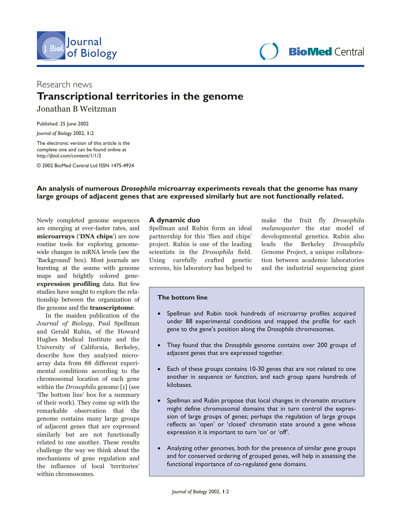

**Sournal**<br> **BioMed** Central **Contral Central Central** 

# Research news **Transcriptional territories in the genome**

Jonathan B Weitzman

Published: 25 June 2002

*Journal of Biology* 2002, **1:**2

The electronic version of this article is the complete one and can be found online at http://jbiol.com/content/1/1/2

© 2002 BioMed Central Ltd ISSN 1475-4924

### **An analysis of numerous** *Drosophila* **microarray experiments reveals that the genome has many large groups of adjacent genes that are expressed similarly but are not functionally related.**

Newly completed genome sequences are emerging at ever-faster rates, and microarrays ('DNA chips') are now routine tools for exploring genomewide changes in mRNA levels (see the 'Background' box). Most journals are bursting at the seams with genome maps and brightly colored geneexpression profiling data. But few studies have sought to explore the relationship between the organization of the genome and the **transcriptome**.

In the maiden publication of the Journal of Biology, Paul Spellman and Gerald Rubin, of the Howard Hughes Medical Institute and the University of California, Berkeley, describe how they analyzed microarray data from 88 different experimental conditions according to the chromosomal location of each gene within the *Drosophila* genome [1] (see 'The bottom line' box for a summary of their work). They come up with the remarkable observation that the genome contains many large groups of adjacent genes that are expressed similarly but are not functionally related to one another. These results challenge the way we think about the mechanisms of gene regulation and the influence of local 'territories' within chromosomes.

### **A dynamic duo**

Spellman and Rubin form an ideal partnership for this 'flies and chips' project. Rubin is one of the leading scientists in the Drosophila field. Using carefully crafted genetic screens, his laboratory has helped to make the fruit fly *Drosophila melanogaster* the star model of developmental genetics. Rubin also leads the Berkeley *Drosophila* Genome Project, a unique collaboration between academic laboratories and the industrial sequencing giant

#### **The bottom line**

- Spellman and Rubin took hundreds of microarray profiles acquired under 88 experimental conditions and mapped the profile for each gene to the gene's position along the *Drosophila* chromosomes.
- They found that the *Drosophila* genome contains over 200 groups of adjacent genes that are expressed together.
- Each of these groups contains 10-30 genes that are not related to one another in sequence or function, and each group spans hundreds of kilobases.
- Spellman and Rubin propose that local changes in chromatin structure might define chromosomal domains that in turn control the expression of large groups of genes; perhaps the regulation of large groups reflects an 'open' or 'closed' chromatin state around a gene whose expression it is important to turn 'on' or 'off'.
- Analyzing other genomes, both for the presence of similar gene groups and for conserved ordering of grouped genes, will help in assessing the functional importance of co-regulated gene domains.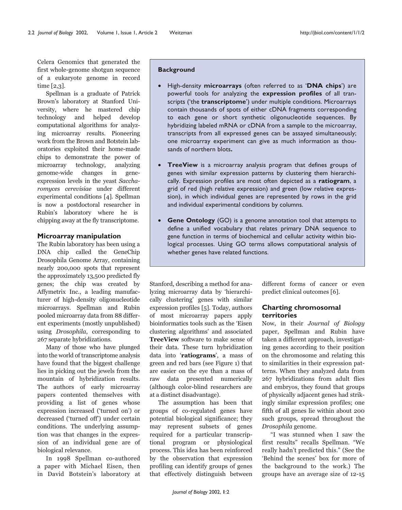Celera Genomics that generated the first whole-genome shotgun sequence of a eukaryote genome in record time  $[2,3]$ .

Spellman is a graduate of Patrick Brown's laboratory at Stanford University, where he mastered chip technology and helped develop computational algorithms for analyzing microarray results. Pioneering work from the Brown and Botstein laboratories exploited their home-made chips to demonstrate the power of microarray technology, analyzing changes in genome-wide geneexpression levels in the yeast Saccharomyces cerevisiae under different experimental conditions [4]. Spellman is now a postdoctoral researcher in Rubin's laboratory where he is chipping away at the fly transcriptome.

#### Microarray manipulation

The Rubin laboratory has been using a DNA chip called the GeneChip Drosophila Genome Array, containing nearly 200,000 spots that represent the approximately 13,500 predicted fly genes; the chip was created by Affymetrix Inc., a leading manufacturer of high-density oligonucleotide microarrays. Spellman and Rubin pooled microarray data from 88 different experiments (mostly unpublished) using *Drosophila*, corresponding to 267 separate hybridizations.

Many of those who have plunged into the world of transcriptome analysis have found that the biggest challenge lies in picking out the jewels from the mountain of hybridization results. The authors of early microarray papers contented themselves with providing a list of genes whose expression increased ('turned on') or decreased ('turned off') under certain conditions. The underlying assumption was that changes in the expression of an individual gene are of biological relevance.

In 1998 Spellman co-authored a paper with Michael Eisen, then in David Botstein's laboratory at

#### **Background**

- $\bullet$ High-density microarrays (often referred to as 'DNA chips') are powerful tools for analyzing the expression profiles of all transcripts ('the transcriptome') under multiple conditions. Microarrays contain thousands of spots of either cDNA fragments corresponding to each gene or short synthetic oligonucleotide sequences. By hybridizing labeled mRNA or cDNA from a sample to the microarray, transcripts from all expressed genes can be assayed simultaneously; one microarray experiment can give as much information as thousands of northern blots.
- TreeView is a microarray analysis program that defines groups of genes with similar expression patterns by clustering them hierarchically. Expression profiles are most often depicted as a ratiogram, a grid of red (high relative expression) and green (low relative expression), in which individual genes are represented by rows in the grid and individual experimental conditions by columns.
- $\bullet$ **Gene Ontology** (GO) is a genome annotation tool that attempts to define a unified vocabulary that relates primary DNA sequence to gene function in terms of biochemical and cellular activity within biological processes. Using GO terms allows computational analysis of whether genes have related functions.

Stanford, describing a method for analyzing microarray data by 'hierarchically clustering' genes with similar expression profiles [5]. Today, authors of most microarray papers apply bioinformatics tools such as the 'Eisen clustering algorithms' and associated TreeView software to make sense of their data. These turn hybridization data into 'ratiograms', a mass of green and red bars (see Figure 1) that are easier on the eye than a mass of raw data presented numerically (although color-blind researchers are at a distinct disadvantage).

The assumption has been that groups of co-regulated genes have potential biological significance; they may represent subsets of genes required for a particular transcriptional program or physiological process. This idea has been reinforced by the observation that expression profiling can identify groups of genes that effectively distinguish between different forms of cancer or even predict clinical outcomes [6].

### **Charting chromosomal** territories

Now, in their Journal of Biology paper, Spellman and Rubin have taken a different approach, investigating genes according to their position on the chromosome and relating this to similarities in their expression patterns. When they analyzed data from 267 hybridizations from adult flies and embryos, they found that groups of physically adjacent genes had strikingly similar expression profiles; one fifth of all genes lie within about 200 such groups, spread throughout the Drosophila genome.

"I was stunned when I saw the first results" recalls Spellman. "We really hadn't predicted this." (See the 'Behind the scenes' box for more of the background to the work.) The groups have an average size of 12-15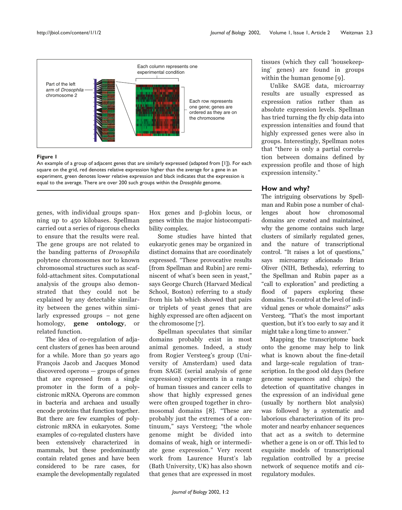

#### Figure I

An example of a group of adjacent genes that are similarly expressed (adapted from [1]). For each square on the grid, red denotes relative expression higher than the average for a gene in an experiment, green denotes lower relative expression and black indicates that the expression is equal to the average. There are over 200 such groups within the Drosophila genome.

genes, with individual groups spanning up to 450 kilobases. Spellman carried out a series of rigorous checks to ensure that the results were real. The gene groups are not related to the banding patterns of Drosophila polytene chromosomes nor to known chromosomal structures such as scaffold-attachment sites. Computational analysis of the groups also demonstrated that they could not be explained by any detectable similarity between the genes within similarly expressed groups - not gene homology, **gene** ontology, or related function.

The idea of co-regulation of adjacent clusters of genes has been around for a while. More than 50 years ago François Jacob and Jacques Monod  $discovered$  operons  $-$  groups of genes that are expressed from a single promoter in the form of a polycistronic mRNA. Operons are common in bacteria and archaea and usually encode proteins that function together. But there are few examples of polycistronic mRNA in eukaryotes. Some examples of co-regulated clusters have been extensively characterized in mammals, but these predominantly contain related genes and have been considered to be rare cases, for example the developmentally regulated

Hox genes and  $\beta$ -globin locus, or genes within the major histocompatibility complex.

Some studies have hinted that eukaryotic genes may be organized in distinct domains that are coordinately expressed. "These provocative results [from Spellman and Rubin] are reminiscent of what's been seen in yeast," says George Church (Harvard Medical School, Boston) referring to a study from his lab which showed that pairs or triplets of yeast genes that are highly expressed are often adjacent on the chromosome [7].

Spellman speculates that similar domains probably exist in most animal genomes. Indeed, a study from Rogier Versteeg's group (University of Amsterdam) used data from SAGE (serial analysis of gene expression) experiments in a range of human tissues and cancer cells to show that highly expressed genes were often grouped together in chromosomal domains [8]. "These are probably just the extremes of a continuum," says Versteeg; "the whole genome might be divided into domains of weak, high or intermediate gene expression." Very recent work from Laurence Hurst's lab (Bath University, UK) has also shown that genes that are expressed in most

tissues (which they call 'housekeeping' genes) are found in groups within the human genome  $[9]$ .

Unlike SAGE data, microarray results are usually expressed as expression ratios rather than as absolute expression levels. Spellman has tried turning the fly chip data into expression intensities and found that highly expressed genes were also in groups. Interestingly, Spellman notes that "there is only a partial correlation between domains defined by expression profile and those of high expression intensity."

### How and why?

The intriguing observations by Spellman and Rubin pose a number of challenges about how chromosomal domains are created and maintained. why the genome contains such large clusters of similarly regulated genes, and the nature of transcriptional control. "It raises a lot of questions," says microarray aficionado Brian Oliver (NIH, Bethesda), referring to the Spellman and Rubin paper as a "call to exploration" and predicting a flood of papers exploring these domains. "Is control at the level of individual genes or whole domains?" asks Versteeg. "That's the most important question, but it's too early to say and it might take a long time to answer."

Mapping the transcriptome back onto the genome may help to link what is known about the fine-detail and large-scale regulation of transcription. In the good old days (before genome sequences and chips) the detection of quantitative changes in the expression of an individual gene (usually by northern blot analysis) was followed by a systematic and laborious characterization of its promoter and nearby enhancer sequences that act as a switch to determine whether a gene is on or off. This led to exquisite models of transcriptional regulation controlled by a precise network of sequence motifs and cisregulatory modules.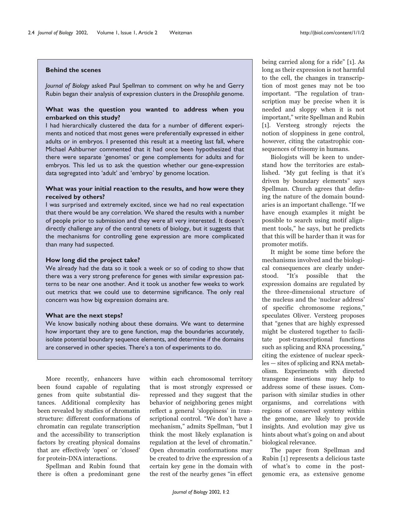#### **Behind the scenes**

*Journal of Biology* asked Paul Spellman to comment on why he and Gerry Rubin began their analysis of expression clusters in the *Drosophila* genome.

### **What was the question you wanted to address when you embarked on this study?**

I had hierarchically clustered the data for a number of different experiments and noticed that most genes were preferentially expressed in either adults or in embryos. I presented this result at a meeting last fall, where Michael Ashburner commented that it had once been hypothesized that there were separate 'genomes' or gene complements for adults and for embryos. This led us to ask the question whether our gene-expression data segregated into 'adult' and 'embryo' by genome location.

#### **What was your initial reaction to the results, and how were they received by others?**

I was surprised and extremely excited, since we had no real expectation that there would be any correlation. We shared the results with a number of people prior to submission and they were all very interested. It doesn't directly challenge any of the central tenets of biology, but it suggests that the mechanisms for controlling gene expression are more complicated than many had suspected.

#### **How long did the project take?**

We already had the data so it took a week or so of coding to show that there was a very strong preference for genes with similar expression patterns to be near one another. And it took us another few weeks to work out metrics that we could use to determine significance. The only real concern was how big expression domains are.

#### **What are the next steps?**

We know basically nothing about these domains. We want to determine how important they are to gene function, map the boundaries accurately, isolate potential boundary sequence elements, and determine if the domains are conserved in other species. There's a ton of experiments to do.

More recently, enhancers have been found capable of regulating genes from quite substantial distances. Additional complexity has been revealed by studies of chromatin structure: different conformations of chromatin can regulate transcription and the accessibility to transcription factors by creating physical domains that are effectively 'open' or 'closed' for protein-DNA interactions.

Spellman and Rubin found that there is often a predominant gene within each chromosomal territory that is most strongly expressed or repressed and they suggest that the behavior of neighboring genes might reflect a general 'sloppiness' in transcriptional control. "We don't have a mechanism," admits Spellman, "but I think the most likely explanation is regulation at the level of chromatin." Open chromatin conformations may be created to drive the expression of a certain key gene in the domain with the rest of the nearby genes "in effect being carried along for a ride" [1]. As long as their expression is not harmful to the cell, the changes in transcription of most genes may not be too important. "The regulation of transcription may be precise when it is needed and sloppy when it is not important," write Spellman and Rubin [1]. Versteeg strongly rejects the notion of sloppiness in gene control, however, citing the catastrophic consequences of trisomy in humans.

Biologists will be keen to understand how the territories are established. "My gut feeling is that it's driven by boundary elements" says Spellman. Church agrees that defining the nature of the domain boundaries is an important challenge. "If we have enough examples it might be possible to search using motif alignment tools," he says, but he predicts that this will be harder than it was for promoter motifs.

It might be some time before the mechanisms involved and the biological consequences are clearly understood. "It's possible that the expression domains are regulated by the three-dimensional structure of the nucleus and the 'nuclear address' of specific chromosome regions," speculates Oliver. Versteeg proposes that "genes that are highly expressed might be clustered together to facilitate post-transcriptional functions such as splicing and RNA processing," citing the existence of nuclear speckles — sites of splicing and RNA metabolism. Experiments with directed transgene insertions may help to address some of these issues. Comparison with similar studies in other organisms, and correlations with regions of conserved synteny within the genome, are likely to provide insights. And evolution may give us hints about what's going on and about biological relevance.

The paper from Spellman and Rubin [1] represents a delicious taste of what's to come in the postgenomic era, as extensive genome